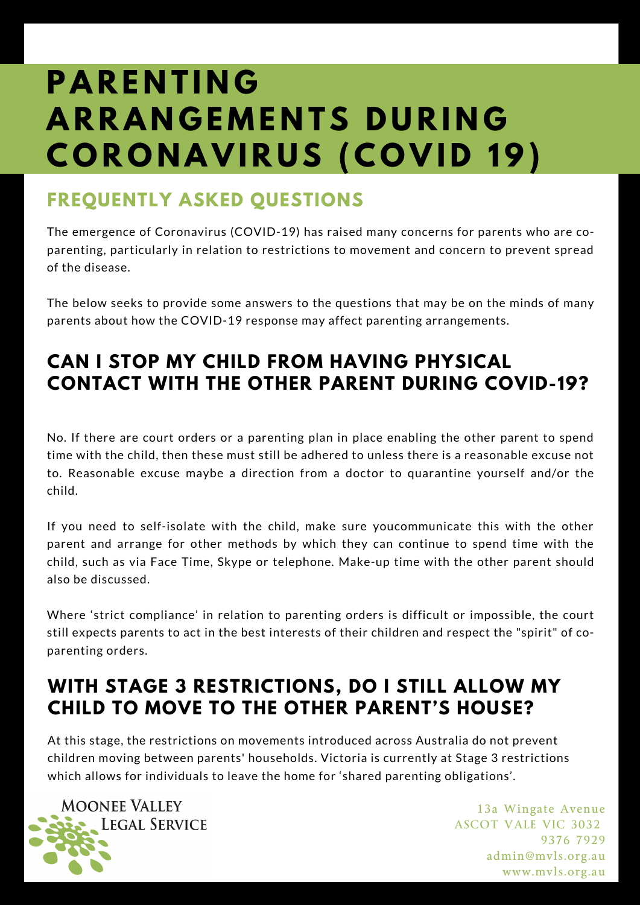# **P A R E N T I N G A R R A N G E M E N TS D U R I N G C O R O N A V I R U S ( C O V I D 19)**

### **FREQUENTLY ASKED QUESTIONS**

The emergence of Coronavirus (COVID-19) has raised many concerns for parents who are coparenting, particularly in relation to restrictions to movement and concern to prevent spread of the disease.

The below seeks to provide some answers to the questions that may be on the minds of many parents about how the COVID-19 response may affect parenting arrangements.

### **CAN I STOP MY CHILD FROM HAVING PHYSICAL CONTACT WITH THE OTHER PARENT DURING COVID-19?**

No. If there are court orders or a parenting plan in place enabling the other parent to spend time with the child, then these must still be adhered to unless there is a reasonable excuse not to. Reasonable excuse maybe a direction from a doctor to quarantine yourself and/or the child.

If you need to self-isolate with the child, make sure youcommunicate this with the other parent and arrange for other methods by which they can continue to spend time with the child, such as via Face Time, Skype or telephone. Make-up time with the other parent should also be discussed.

Where 'strict compliance' in relation to parenting orders is difficult or impossible, the court still expects parents to act in the best interests of their children and respect the "spirit" of coparenting orders.

### **WITH STAGE 3 RESTRICTIONS, DO I STILL ALLOW MY CHILD TO MOVE TO THE OTHER PARENT'S HOUSE?**

At this stage, the restrictions on movements introduced across Australia do not prevent children moving between parents' households. Victoria is currently at Stage 3 restrictions which allows for individuals to leave the home for 'shared parenting obligations'.

**MOONEE VALLEY LEGAL SERVICE**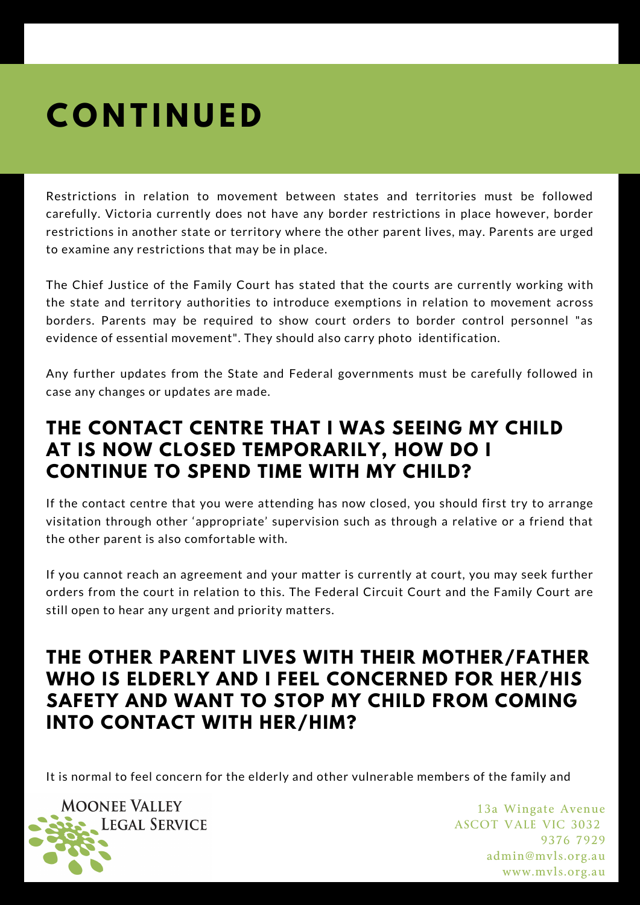# **C O N T I N U E D**

Restrictions in relation to movement between states and territories must be followed carefully. Victoria currently does not have any border restrictions in place however, border restrictions in another state or territory where the other parent lives, may. Parents are urged to examine any restrictions that may be in place.

The Chief Justice of the Family Court has stated that the courts are currently working with the state and territory authorities to introduce exemptions in relation to movement across borders. Parents may be required to show court orders to border control personnel "as evidence of essential movement". They should also carry photo identification.

Any further updates from the State and Federal governments must be carefully followed in case any changes or updates are made.

#### **THE CONTACT CENTRE THAT I WAS SEEING MY CHILD AT IS NOW CLOSED TEMPORARILY, HOW DO I CONTINUE TO SPEND TIME WITH MY CHILD?**

If the contact centre that you were attending has now closed, you should first try to arrange visitation through other 'appropriate' supervision such as through a relative or a friend that the other parent is also comfortable with.

If you cannot reach an agreement and your matter is currently at court, you may seek further orders from the court in relation to this. The Federal Circuit Court and the Family Court are still open to hear any urgent and priority matters.

#### **THE OTHER PARENT LIVES WITH THEIR MOTHER/FATHER WHO IS ELDERLY AND I FEEL CONCERNED FOR HER/HIS SAFETY AND WANT TO STOP MY CHILD FROM COMING INTO CONTACT WITH HER/HIM?**

It is normal to feel concern for the elderly and other vulnerable members of the family and

**MOONEE VALLEY LEGAL SERVICE**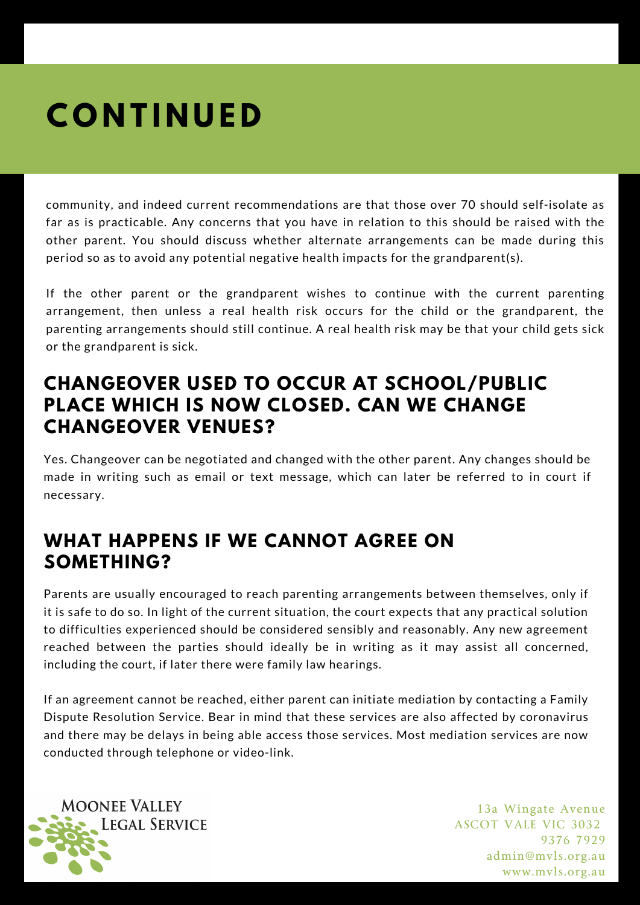# **C O N T I N U E D**

community, and indeed current recommendations are that those over 70 should self-isolate as far as is practicable. Any concerns that you have in relation to this should be raised with the other parent. You should discuss whether alternate arrangements can be made during this period so as to avoid any potential negative health impacts for the grandparent(s).

If the other parent or the grandparent wishes to continue with the current parenting arrangement, then unless a real health risk occurs for the child or the grandparent, the parenting arrangements should still continue. A real health risk may be that your child gets sick or the grandparent is sick.

#### **CHANGEOVER USED TO OCCUR AT SCHOOL/PUBLIC PLACE WHICH IS NOW CLOSED. CAN WE CHANGE CHANGEOVER VENUES?**

Yes. Changeover can be negotiated and changed with the other parent. Any changes should be made in writing such as email or text message, which can later be referred to in court if necessary.

### **WHAT HAPPENS IF WE CANNOT AGREE ON SOMETHING?**

Parents are usually encouraged to reach parenting arrangements between themselves, only if it is safe to do so. In light of the current situation, the court expects that any practical solution to difficulties experienced should be considered sensibly and reasonably. Any new agreement reached between the parties should ideally be in writing as it may assist all concerned, including the court, if later there were family law hearings.

If an agreement cannot be reached, either parent can initiate mediation by contacting a Family Dispute Resolution Service. Bear in mind that these services are also affected by coronavirus and there may be delays in being able access those services. Most mediation services are now conducted through telephone or video-link.